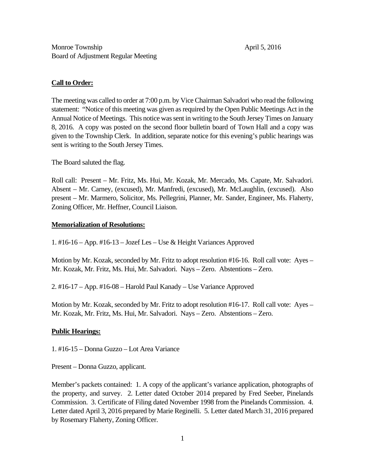### **Call to Order:**

The meeting was called to order at 7:00 p.m. by Vice Chairman Salvadori who read the following statement: "Notice of this meeting was given as required by the Open Public Meetings Act in the Annual Notice of Meetings. This notice was sent in writing to the South Jersey Times on January 8, 2016. A copy was posted on the second floor bulletin board of Town Hall and a copy was given to the Township Clerk. In addition, separate notice for this evening's public hearings was sent is writing to the South Jersey Times.

The Board saluted the flag.

Roll call: Present – Mr. Fritz, Ms. Hui, Mr. Kozak, Mr. Mercado, Ms. Capate, Mr. Salvadori. Absent – Mr. Carney, (excused), Mr. Manfredi, (excused), Mr. McLaughlin, (excused). Also present – Mr. Marmero, Solicitor, Ms. Pellegrini, Planner, Mr. Sander, Engineer, Ms. Flaherty, Zoning Officer, Mr. Heffner, Council Liaison.

## **Memorialization of Resolutions:**

1. #16-16 – App. #16-13 – Jozef Les – Use & Height Variances Approved

Motion by Mr. Kozak, seconded by Mr. Fritz to adopt resolution #16-16. Roll call vote: Ayes – Mr. Kozak, Mr. Fritz, Ms. Hui, Mr. Salvadori. Nays – Zero. Abstentions – Zero.

2. #16-17 – App. #16-08 – Harold Paul Kanady – Use Variance Approved

Motion by Mr. Kozak, seconded by Mr. Fritz to adopt resolution #16-17. Roll call vote: Ayes – Mr. Kozak, Mr. Fritz, Ms. Hui, Mr. Salvadori. Nays – Zero. Abstentions – Zero.

# **Public Hearings:**

1. #16-15 – Donna Guzzo – Lot Area Variance

Present – Donna Guzzo, applicant.

Member's packets contained: 1. A copy of the applicant's variance application, photographs of the property, and survey. 2. Letter dated October 2014 prepared by Fred Seeber, Pinelands Commission. 3. Certificate of Filing dated November 1998 from the Pinelands Commission. 4. Letter dated April 3, 2016 prepared by Marie Reginelli. 5. Letter dated March 31, 2016 prepared by Rosemary Flaherty, Zoning Officer.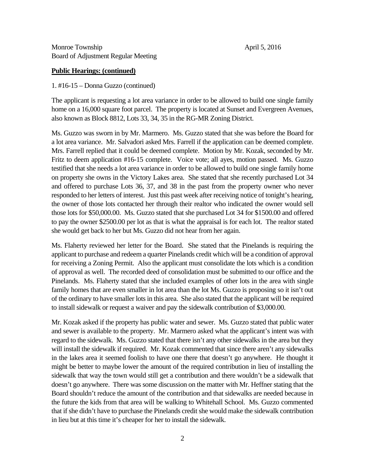Monroe Township April 5, 2016 Board of Adjustment Regular Meeting

### **Public Hearings: (continued)**

#### 1. #16-15 – Donna Guzzo (continued)

The applicant is requesting a lot area variance in order to be allowed to build one single family home on a 16,000 square foot parcel. The property is located at Sunset and Evergreen Avenues, also known as Block 8812, Lots 33, 34, 35 in the RG-MR Zoning District.

Ms. Guzzo was sworn in by Mr. Marmero. Ms. Guzzo stated that she was before the Board for a lot area variance. Mr. Salvadori asked Mrs. Farrell if the application can be deemed complete. Mrs. Farrell replied that it could be deemed complete. Motion by Mr. Kozak, seconded by Mr. Fritz to deem application #16-15 complete. Voice vote; all ayes, motion passed. Ms. Guzzo testified that she needs a lot area variance in order to be allowed to build one single family home on property she owns in the Victory Lakes area. She stated that she recently purchased Lot 34 and offered to purchase Lots 36, 37, and 38 in the past from the property owner who never responded to her letters of interest. Just this past week after receiving notice of tonight's hearing, the owner of those lots contacted her through their realtor who indicated the owner would sell those lots for \$50,000.00. Ms. Guzzo stated that she purchased Lot 34 for \$1500.00 and offered to pay the owner \$2500.00 per lot as that is what the appraisal is for each lot. The realtor stated she would get back to her but Ms. Guzzo did not hear from her again.

Ms. Flaherty reviewed her letter for the Board. She stated that the Pinelands is requiring the applicant to purchase and redeem a quarter Pinelands credit which will be a condition of approval for receiving a Zoning Permit. Also the applicant must consolidate the lots which is a condition of approval as well. The recorded deed of consolidation must be submitted to our office and the Pinelands. Ms. Flaherty stated that she included examples of other lots in the area with single family homes that are even smaller in lot area than the lot Ms. Guzzo is proposing so it isn't out of the ordinary to have smaller lots in this area. She also stated that the applicant will be required to install sidewalk or request a waiver and pay the sidewalk contribution of \$3,000.00.

Mr. Kozak asked if the property has public water and sewer. Ms. Guzzo stated that public water and sewer is available to the property. Mr. Marmero asked what the applicant's intent was with regard to the sidewalk. Ms. Guzzo stated that there isn't any other sidewalks in the area but they will install the sidewalk if required. Mr. Kozak commented that since there aren't any sidewalks in the lakes area it seemed foolish to have one there that doesn't go anywhere. He thought it might be better to maybe lower the amount of the required contribution in lieu of installing the sidewalk that way the town would still get a contribution and there wouldn't be a sidewalk that doesn't go anywhere. There was some discussion on the matter with Mr. Heffner stating that the Board shouldn't reduce the amount of the contribution and that sidewalks are needed because in the future the kids from that area will be walking to Whitehall School. Ms. Guzzo commented that if she didn't have to purchase the Pinelands credit she would make the sidewalk contribution in lieu but at this time it's cheaper for her to install the sidewalk.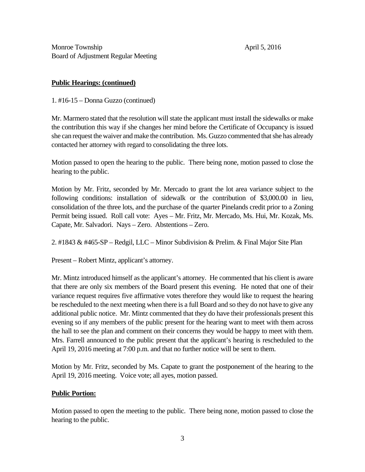Monroe Township April 5, 2016 Board of Adjustment Regular Meeting

### **Public Hearings: (continued)**

1. #16-15 – Donna Guzzo (continued)

Mr. Marmero stated that the resolution will state the applicant must install the sidewalks or make the contribution this way if she changes her mind before the Certificate of Occupancy is issued she can request the waiver and make the contribution. Ms. Guzzo commented that she has already contacted her attorney with regard to consolidating the three lots.

Motion passed to open the hearing to the public. There being none, motion passed to close the hearing to the public.

Motion by Mr. Fritz, seconded by Mr. Mercado to grant the lot area variance subject to the following conditions: installation of sidewalk or the contribution of \$3,000.00 in lieu, consolidation of the three lots, and the purchase of the quarter Pinelands credit prior to a Zoning Permit being issued. Roll call vote: Ayes – Mr. Fritz, Mr. Mercado, Ms. Hui, Mr. Kozak, Ms. Capate, Mr. Salvadori. Nays – Zero. Abstentions – Zero.

2. #1843 & #465-SP – Redgil, LLC – Minor Subdivision & Prelim. & Final Major Site Plan

Present – Robert Mintz, applicant's attorney.

Mr. Mintz introduced himself as the applicant's attorney. He commented that his client is aware that there are only six members of the Board present this evening. He noted that one of their variance request requires five affirmative votes therefore they would like to request the hearing be rescheduled to the next meeting when there is a full Board and so they do not have to give any additional public notice. Mr. Mintz commented that they do have their professionals present this evening so if any members of the public present for the hearing want to meet with them across the hall to see the plan and comment on their concerns they would be happy to meet with them. Mrs. Farrell announced to the public present that the applicant's hearing is rescheduled to the April 19, 2016 meeting at 7:00 p.m. and that no further notice will be sent to them.

Motion by Mr. Fritz, seconded by Ms. Capate to grant the postponement of the hearing to the April 19, 2016 meeting. Voice vote; all ayes, motion passed.

### **Public Portion:**

Motion passed to open the meeting to the public. There being none, motion passed to close the hearing to the public.